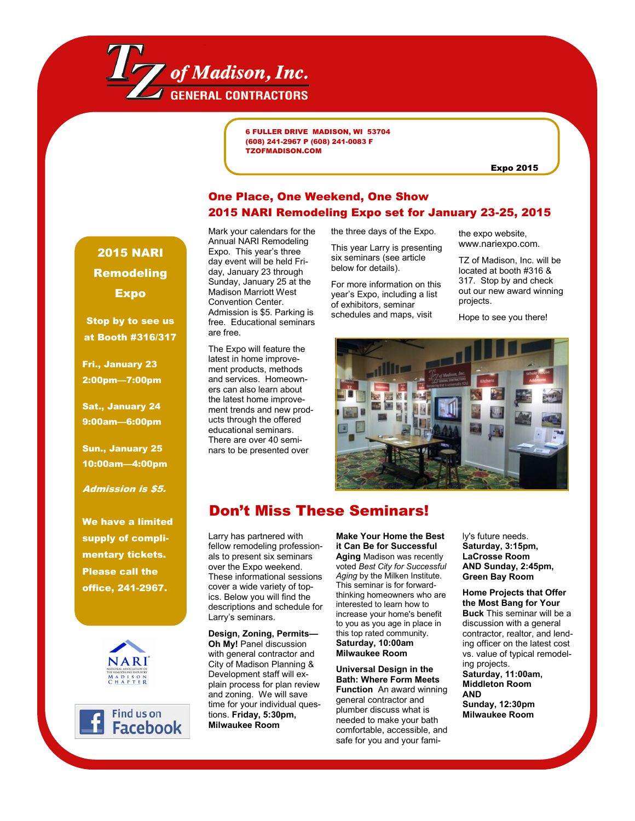

6 FULLER DRIVE MADISON, WI 53704 (608) 241-2967 P (608) 241-0083 F TZOFMADISON.COM

Expo 2015

## One Place, One Weekend, One Show 2015 NARI Remodeling Expo set for January 23-25, 2015

2015 NARI Remodeling Expo

Stop by to see us at Booth #316/317

Fri., January 23 2:00pm—7:00pm

Sat., January 24 9:00am—6:00pm

Sun., January 25 10:00am—4:00pm

Admission is \$5.

We have a limited supply of complimentary tickets. Please call the office, 241-2967.





Mark your calendars for the Annual NARI Remodeling Expo. This year's three day event will be held Friday, January 23 through Sunday, January 25 at the Madison Marriott West Convention Center. Admission is \$5. Parking is free. Educational seminars are free.

The Expo will feature the latest in home improvement products, methods and services. Homeowners can also learn about the latest home improvement trends and new products through the offered educational seminars. There are over 40 seminars to be presented over

the three days of the Expo.

This year Larry is presenting six seminars (see article below for details).

For more information on this year's Expo, including a list of exhibitors, seminar schedules and maps, visit

the expo website, www.nariexpo.com.

TZ of Madison, Inc. will be located at booth #316 & 317. Stop by and check out our new award winning projects.

Hope to see you there!



## Don't Miss These Seminars!

Larry has partnered with fellow remodeling professionals to present six seminars over the Expo weekend. These informational sessions cover a wide variety of topics. Below you will find the descriptions and schedule for Larry's seminars.

**Design, Zoning, Permits— Oh My!** Panel discussion with general contractor and City of Madison Planning & Development staff will explain process for plan review and zoning. We will save time for your individual questions. **Friday, 5:30pm, Milwaukee Room** 

**Make Your Home the Best it Can Be for Successful Aging** Madison was recently voted *Best City for Successful Aging* by the Milken Institute. This seminar is for forwardthinking homeowners who are interested to learn how to increase your home's benefit to you as you age in place in this top rated community. **Saturday, 10:00am Milwaukee Room**

**Universal Design in the Bath: Where Form Meets Function** An award winning general contractor and plumber discuss what is needed to make your bath comfortable, accessible, and safe for you and your fami-

ly's future needs. **Saturday, 3:15pm, LaCrosse Room AND Sunday, 2:45pm, Green Bay Room** 

**Home Projects that Offer the Most Bang for Your Buck** This seminar will be a discussion with a general contractor, realtor, and lending officer on the latest cost vs. value of typical remodeling projects. **Saturday, 11:00am, Middleton Room AND Sunday, 12:30pm**

**Milwaukee Room**